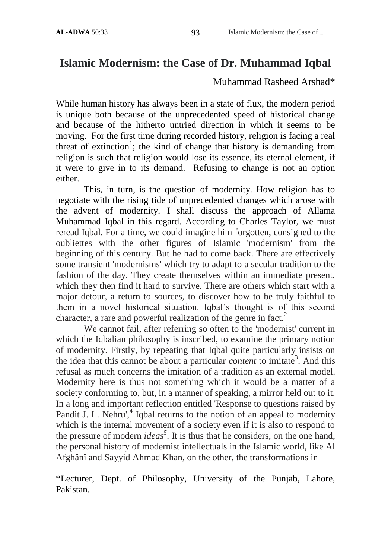## **Islamic Modernism: the Case of Dr. Muhammad Iqbal**

## Muhammad Rasheed Arshad\*

While human history has always been in a state of flux, the modern period is unique both because of the unprecedented speed of historical change and because of the hitherto untried direction in which it seems to be moving. For the first time during recorded history, religion is facing a real threat of extinction<sup>1</sup>; the kind of change that history is demanding from religion is such that religion would lose its essence, its eternal element, if it were to give in to its demand. Refusing to change is not an option either.

This, in turn, is the question of modernity. How religion has to negotiate with the rising tide of unprecedented changes which arose with the advent of modernity. I shall discuss the approach of Allama Muhammad Iqbal in this regard. According to Charles Taylor, we must reread Iqbal. For a time, we could imagine him forgotten, consigned to the oubliettes with the other figures of Islamic 'modernism' from the beginning of this century. But he had to come back. There are effectively some transient 'modernisms' which try to adapt to a secular tradition to the fashion of the day. They create themselves within an immediate present, which they then find it hard to survive. There are others which start with a major detour, a return to sources, to discover how to be truly faithful to them in a novel historical situation. Iqbal's thought is of this second character, a rare and powerful realization of the genre in fact.<sup>2</sup>

We cannot fail, after referring so often to the 'modernist' current in which the Iqbalian philosophy is inscribed, to examine the primary notion of modernity. Firstly, by repeating that Iqbal quite particularly insists on the idea that this cannot be about a particular *content* to imitate<sup>3</sup> . And this refusal as much concerns the imitation of a tradition as an external model. Modernity here is thus not something which it would be a matter of a society conforming to, but, in a manner of speaking, a mirror held out to it. In a long and important reflection entitled 'Response to questions raised by Pandit J. L. Nehru',<sup>4</sup> Iqbal returns to the notion of an appeal to modernity which is the internal movement of a society even if it is also to respond to the pressure of modern *ideas<sup>5</sup>* . It is thus that he considers, on the one hand, the personal history of modernist intellectuals in the Islamic world, like Al Afghânî and Sayyid Ahmad Khan, on the other, the transformations in

<sup>\*</sup>Lecturer, Dept. of Philosophy, University of the Punjab, Lahore, Pakistan.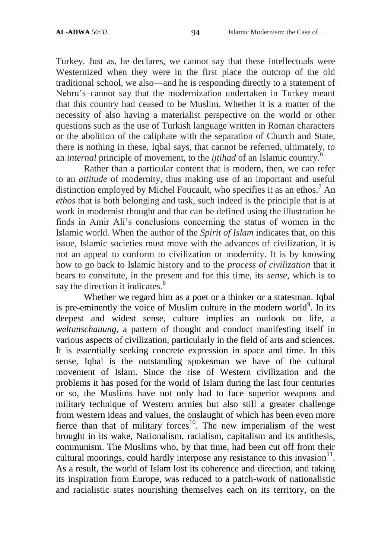Turkey. Just as, he declares, we cannot say that these intellectuals were Westernized when they were in the first place the outcrop of the old traditional school, we also—and he is responding directly to a statement of Nehru's–cannot say that the modernization undertaken in Turkey meant that this country had ceased to be Muslim. Whether it is a matter of the necessity of also having a materialist perspective on the world or other questions such as the use of Turkish language written in Roman characters or the abolition of the caliphate with the separation of Church and State, there is nothing in these, Iqbal says, that cannot be referred, ultimately, to an *internal* principle of movement, to the *ijtihad* of an Islamic country.<sup>6</sup>

Rather than a particular content that is modern, then, we can refer to an *attitude* of modernity, thus making use of an important and useful distinction employed by Michel Foucault, who specifies it as an ethos.<sup>7</sup> An *ethos* that is both belonging and task, such indeed is the principle that is at work in modernist thought and that can be defined using the illustration he finds in Amir Ali's conclusions concerning the status of women in the Islamic world. When the author of the *Spirit of Islam* indicates that, on this issue, Islamic societies must move with the advances of civilization, it is not an appeal to conform to civilization or modernity. It is by knowing how to go back to Islamic history and to the *process of civilization* that it bears to constitute, in the present and for this time, its *sense*, which is to say the direction it indicates.<sup>8</sup>

Whether we regard him as a poet or a thinker or a statesman. Iqbal is pre-eminently the voice of Muslim culture in the modern world<sup>9</sup>. In its deepest and widest sense, culture implies an outlook on life, a *weltanschauung*, a pattern of thought and conduct manifesting itself in various aspects of civilization, particularly in the field of arts and sciences. It is essentially seeking concrete expression in space and time. In this sense, Iqbal is the outstanding spokesman we have of the cultural movement of Islam. Since the rise of Western civilization and the problems it has posed for the world of Islam during the last four centuries or so, the Muslims have not only had to face superior weapons and military technique of Western armies but also still a greater challenge from western ideas and values, the onslaught of which has been even more fierce than that of military forces<sup>10</sup>. The new imperialism of the west brought in its wake, Nationalism, racialism, capitalism and its antithesis, communism. The Muslims who, by that time, had been cut off from their cultural moorings, could hardly interpose any resistance to this invasion $11$ . As a result, the world of Islam lost its coherence and direction, and taking its inspiration from Europe, was reduced to a patch-work of nationalistic and racialistic states nourishing themselves each on its territory, on the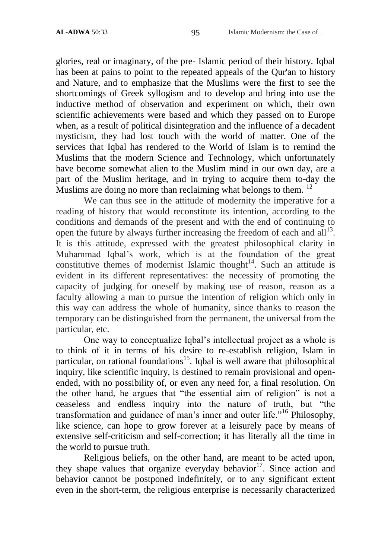glories, real or imaginary, of the pre- Islamic period of their history. Iqbal has been at pains to point to the repeated appeals of the Qur'an to history and Nature, and to emphasize that the Muslims were the first to see the shortcomings of Greek syllogism and to develop and bring into use the inductive method of observation and experiment on which, their own scientific achievements were based and which they passed on to Europe when, as a result of political disintegration and the influence of a decadent mysticism, they had lost touch with the world of matter. One of the services that Iqbal has rendered to the World of Islam is to remind the Muslims that the modern Science and Technology, which unfortunately have become somewhat alien to the Muslim mind in our own day, are a part of the Muslim heritage, and in trying to acquire them to-day the Muslims are doing no more than reclaiming what belongs to them.  $12$ 

We can thus see in the attitude of modernity the imperative for a reading of history that would reconstitute its intention, according to the conditions and demands of the present and with the end of continuing to open the future by always further increasing the freedom of each and all  $13$ . It is this attitude, expressed with the greatest philosophical clarity in Muhammad Iqbal's work, which is at the foundation of the great constitutive themes of modernist Islamic thought<sup>14</sup>. Such an attitude is evident in its different representatives: the necessity of promoting the capacity of judging for oneself by making use of reason, reason as a faculty allowing a man to pursue the intention of religion which only in this way can address the whole of humanity, since thanks to reason the temporary can be distinguished from the permanent, the universal from the particular, etc.

One way to conceptualize Iqbal's intellectual project as a whole is to think of it in terms of his desire to re-establish religion, Islam in particular, on rational foundations<sup>15</sup>. Iqbal is well aware that philosophical inquiry, like scientific inquiry, is destined to remain provisional and openended, with no possibility of, or even any need for, a final resolution. On the other hand, he argues that "the essential aim of religion" is not a ceaseless and endless inquiry into the nature of truth, but "the transformation and guidance of man's inner and outer life."<sup>16</sup> Philosophy, like science, can hope to grow forever at a leisurely pace by means of extensive self-criticism and self-correction; it has literally all the time in the world to pursue truth.

Religious beliefs, on the other hand, are meant to be acted upon, they shape values that organize everyday behavior<sup>17</sup>. Since action and behavior cannot be postponed indefinitely, or to any significant extent even in the short-term, the religious enterprise is necessarily characterized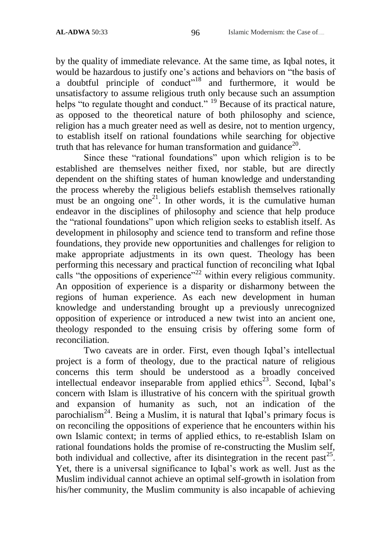by the quality of immediate relevance. At the same time, as Iqbal notes, it would be hazardous to justify one's actions and behaviors on "the basis of a doubtful principle of conduct<sup> $18$ </sup> and furthermore, it would be unsatisfactory to assume religious truth only because such an assumption helps "to regulate thought and conduct."  $^{19}$  Because of its practical nature, as opposed to the theoretical nature of both philosophy and science, religion has a much greater need as well as desire, not to mention urgency, to establish itself on rational foundations while searching for objective truth that has relevance for human transformation and guidance<sup>20</sup>.

Since these "rational foundations" upon which religion is to be established are themselves neither fixed, nor stable, but are directly dependent on the shifting states of human knowledge and understanding the process whereby the religious beliefs establish themselves rationally must be an ongoing one<sup>21</sup>. In other words, it is the cumulative human endeavor in the disciplines of philosophy and science that help produce the "rational foundations" upon which religion seeks to establish itself. As development in philosophy and science tend to transform and refine those foundations, they provide new opportunities and challenges for religion to make appropriate adjustments in its own quest. Theology has been performing this necessary and practical function of reconciling what Iqbal calls "the oppositions of experience"<sup>22</sup> within every religious community. An opposition of experience is a disparity or disharmony between the regions of human experience. As each new development in human knowledge and understanding brought up a previously unrecognized opposition of experience or introduced a new twist into an ancient one, theology responded to the ensuing crisis by offering some form of reconciliation.

Two caveats are in order. First, even though Iqbal's intellectual project is a form of theology, due to the practical nature of religious concerns this term should be understood as a broadly conceived intellectual endeavor inseparable from applied ethics<sup>23</sup>. Second, Iqbal's concern with Islam is illustrative of his concern with the spiritual growth and expansion of humanity as such, not an indication of the parochialism<sup>24</sup>. Being a Muslim, it is natural that Iqbal's primary focus is on reconciling the oppositions of experience that he encounters within his own Islamic context; in terms of applied ethics, to re-establish Islam on rational foundations holds the promise of re-constructing the Muslim self, both individual and collective, after its disintegration in the recent past<sup>25</sup>. Yet, there is a universal significance to Iqbal's work as well. Just as the Muslim individual cannot achieve an optimal self-growth in isolation from his/her community, the Muslim community is also incapable of achieving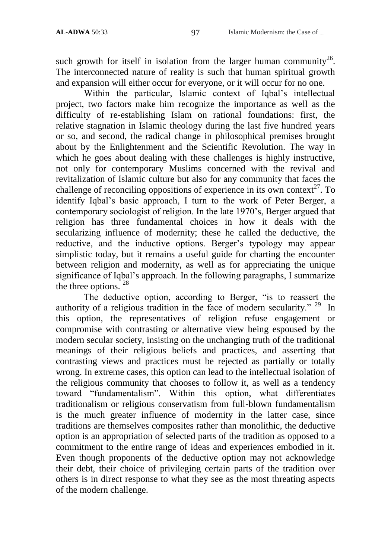such growth for itself in isolation from the larger human community<sup>26</sup>. The interconnected nature of reality is such that human spiritual growth and expansion will either occur for everyone, or it will occur for no one.

Within the particular, Islamic context of Iqbal's intellectual project, two factors make him recognize the importance as well as the difficulty of re-establishing Islam on rational foundations: first, the relative stagnation in Islamic theology during the last five hundred years or so, and second, the radical change in philosophical premises brought about by the Enlightenment and the Scientific Revolution. The way in which he goes about dealing with these challenges is highly instructive, not only for contemporary Muslims concerned with the revival and revitalization of Islamic culture but also for any community that faces the challenge of reconciling oppositions of experience in its own context<sup>27</sup>. To identify Iqbal's basic approach, I turn to the work of Peter Berger, a contemporary sociologist of religion. In the late 1970's, Berger argued that religion has three fundamental choices in how it deals with the secularizing influence of modernity; these he called the deductive, the reductive, and the inductive options. Berger's typology may appear simplistic today, but it remains a useful guide for charting the encounter between religion and modernity, as well as for appreciating the unique significance of Iqbal's approach. In the following paragraphs, I summarize the three options.  $28$ 

The deductive option, according to Berger, "is to reassert the authority of a religious tradition in the face of modern secularity."  $29$  In this option, the representatives of religion refuse engagement or compromise with contrasting or alternative view being espoused by the modern secular society, insisting on the unchanging truth of the traditional meanings of their religious beliefs and practices, and asserting that contrasting views and practices must be rejected as partially or totally wrong. In extreme cases, this option can lead to the intellectual isolation of the religious community that chooses to follow it, as well as a tendency toward "fundamentalism". Within this option, what differentiates traditionalism or religious conservatism from full-blown fundamentalism is the much greater influence of modernity in the latter case, since traditions are themselves composites rather than monolithic, the deductive option is an appropriation of selected parts of the tradition as opposed to a commitment to the entire range of ideas and experiences embodied in it. Even though proponents of the deductive option may not acknowledge their debt, their choice of privileging certain parts of the tradition over others is in direct response to what they see as the most threating aspects of the modern challenge.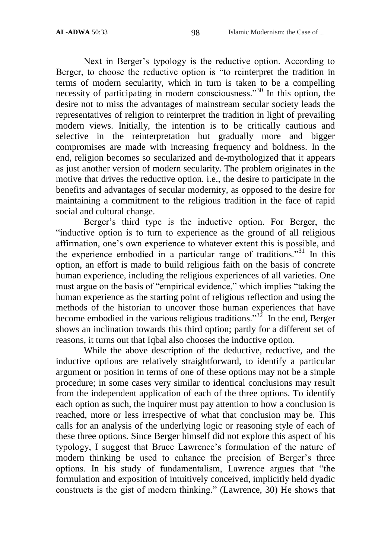Next in Berger's typology is the reductive option. According to Berger, to choose the reductive option is "to reinterpret the tradition in terms of modern secularity, which in turn is taken to be a compelling necessity of participating in modern consciousness.<sup>30</sup> In this option, the desire not to miss the advantages of mainstream secular society leads the representatives of religion to reinterpret the tradition in light of prevailing modern views. Initially, the intention is to be critically cautious and selective in the reinterpretation but gradually more and bigger compromises are made with increasing frequency and boldness. In the end, religion becomes so secularized and de-mythologized that it appears as just another version of modern secularity. The problem originates in the motive that drives the reductive option. i.e., the desire to participate in the benefits and advantages of secular modernity, as opposed to the desire for maintaining a commitment to the religious tradition in the face of rapid social and cultural change.

Berger's third type is the inductive option. For Berger, the "inductive option is to turn to experience as the ground of all religious affirmation, one's own experience to whatever extent this is possible, and the experience embodied in a particular range of traditions.<sup>31</sup> In this option, an effort is made to build religious faith on the basis of concrete human experience, including the religious experiences of all varieties. One must argue on the basis of "empirical evidence," which implies "taking the human experience as the starting point of religious reflection and using the methods of the historian to uncover those human experiences that have become embodied in the various religious traditions.<sup>32</sup> In the end, Berger shows an inclination towards this third option; partly for a different set of reasons, it turns out that Iqbal also chooses the inductive option.

While the above description of the deductive, reductive, and the inductive options are relatively straightforward, to identify a particular argument or position in terms of one of these options may not be a simple procedure; in some cases very similar to identical conclusions may result from the independent application of each of the three options. To identify each option as such, the inquirer must pay attention to how a conclusion is reached, more or less irrespective of what that conclusion may be. This calls for an analysis of the underlying logic or reasoning style of each of these three options. Since Berger himself did not explore this aspect of his typology, I suggest that Bruce Lawrence's formulation of the nature of modern thinking be used to enhance the precision of Berger's three options. In his study of fundamentalism, Lawrence argues that "the formulation and exposition of intuitively conceived, implicitly held dyadic constructs is the gist of modern thinking." (Lawrence, 30) He shows that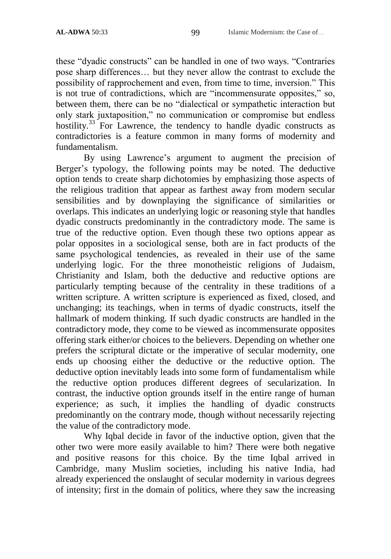these "dyadic constructs" can be handled in one of two ways. "Contraries" pose sharp differences… but they never allow the contrast to exclude the possibility of rapprochement and even, from time to time, inversion." This is not true of contradictions, which are "incommensurate opposites," so, between them, there can be no "dialectical or sympathetic interaction but only stark juxtaposition," no communication or compromise but endless hostility.<sup>33</sup> For Lawrence, the tendency to handle dyadic constructs as contradictories is a feature common in many forms of modernity and fundamentalism.

By using Lawrence's argument to augment the precision of Berger's typology, the following points may be noted. The deductive option tends to create sharp dichotomies by emphasizing those aspects of the religious tradition that appear as farthest away from modern secular sensibilities and by downplaying the significance of similarities or overlaps. This indicates an underlying logic or reasoning style that handles dyadic constructs predominantly in the contradictory mode. The same is true of the reductive option. Even though these two options appear as polar opposites in a sociological sense, both are in fact products of the same psychological tendencies, as revealed in their use of the same underlying logic. For the three monotheistic religions of Judaism, Christianity and Islam, both the deductive and reductive options are particularly tempting because of the centrality in these traditions of a written scripture. A written scripture is experienced as fixed, closed, and unchanging; its teachings, when in terms of dyadic constructs, itself the hallmark of modern thinking. If such dyadic constructs are handled in the contradictory mode, they come to be viewed as incommensurate opposites offering stark either/or choices to the believers. Depending on whether one prefers the scriptural dictate or the imperative of secular modernity, one ends up choosing either the deductive or the reductive option. The deductive option inevitably leads into some form of fundamentalism while the reductive option produces different degrees of secularization. In contrast, the inductive option grounds itself in the entire range of human experience; as such, it implies the handling of dyadic constructs predominantly on the contrary mode, though without necessarily rejecting the value of the contradictory mode.

Why Iqbal decide in favor of the inductive option, given that the other two were more easily available to him? There were both negative and positive reasons for this choice. By the time Iqbal arrived in Cambridge, many Muslim societies, including his native India, had already experienced the onslaught of secular modernity in various degrees of intensity; first in the domain of politics, where they saw the increasing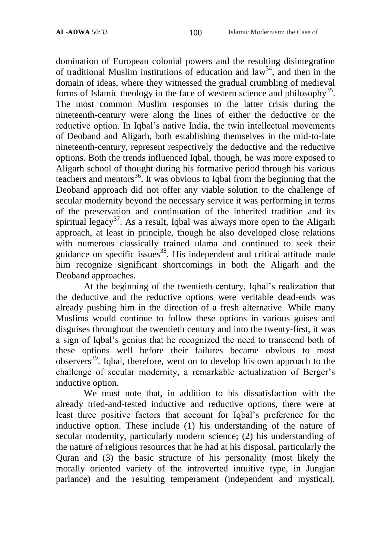domination of European colonial powers and the resulting disintegration of traditional Muslim institutions of education and  $law<sup>34</sup>$ , and then in the domain of ideas, where they witnessed the gradual crumbling of medieval forms of Islamic theology in the face of western science and philosophy<sup>35</sup>. The most common Muslim responses to the latter crisis during the nineteenth-century were along the lines of either the deductive or the reductive option. In Iqbal's native India, the twin intellectual movements of Deoband and Aligarh, both establishing themselves in the mid-to-late nineteenth-century, represent respectively the deductive and the reductive options. Both the trends influenced Iqbal, though, he was more exposed to Aligarh school of thought during his formative period through his various teachers and mentors<sup>36</sup>. It was obvious to Iqbal from the beginning that the Deoband approach did not offer any viable solution to the challenge of secular modernity beyond the necessary service it was performing in terms of the preservation and continuation of the inherited tradition and its spiritual legacy<sup>37</sup>. As a result, Iqbal was always more open to the Aligarh approach, at least in principle, though he also developed close relations with numerous classically trained ulama and continued to seek their guidance on specific issues<sup>38</sup>. His independent and critical attitude made him recognize significant shortcomings in both the Aligarh and the Deoband approaches.

At the beginning of the twentieth-century, Iqbal's realization that the deductive and the reductive options were veritable dead-ends was already pushing him in the direction of a fresh alternative. While many Muslims would continue to follow these options in various guises and disguises throughout the twentieth century and into the twenty-first, it was a sign of Iqbal's genius that he recognized the need to transcend both of these options well before their failures became obvious to most observers<sup>39</sup>. Iqbal, therefore, went on to develop his own approach to the challenge of secular modernity, a remarkable actualization of Berger's inductive option.

We must note that, in addition to his dissatisfaction with the already tried-and-tested inductive and reductive options, there were at least three positive factors that account for Iqbal's preference for the inductive option. These include (1) his understanding of the nature of secular modernity, particularly modern science; (2) his understanding of the nature of religious resources that he had at his disposal, particularly the Quran and (3) the basic structure of his personality (most likely the morally oriented variety of the introverted intuitive type, in Jungian parlance) and the resulting temperament (independent and mystical).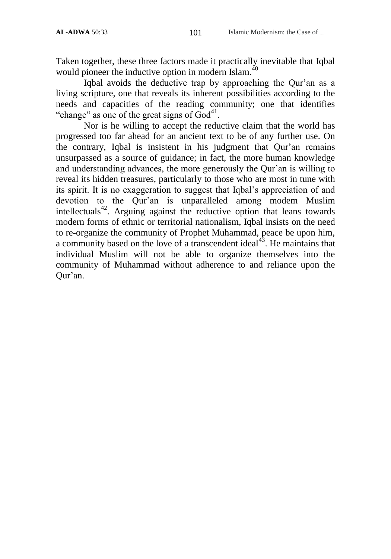Taken together, these three factors made it practically inevitable that Iqbal would pioneer the inductive option in modern Islam.<sup>40</sup>

Iqbal avoids the deductive trap by approaching the Qur'an as a living scripture, one that reveals its inherent possibilities according to the needs and capacities of the reading community; one that identifies "change" as one of the great signs of  $\ddot{\text{God}}^{41}$ .

Nor is he willing to accept the reductive claim that the world has progressed too far ahead for an ancient text to be of any further use. On the contrary, Iqbal is insistent in his judgment that Qur'an remains unsurpassed as a source of guidance; in fact, the more human knowledge and understanding advances, the more generously the Qur'an is willing to reveal its hidden treasures, particularly to those who are most in tune with its spirit. It is no exaggeration to suggest that Iqbal's appreciation of and devotion to the Qur'an is unparalleled among modem Muslim intellectuals<sup>42</sup>. Arguing against the reductive option that leans towards modern forms of ethnic or territorial nationalism, Iqbal insists on the need to re-organize the community of Prophet Muhammad, peace be upon him, a community based on the love of a transcendent ideal $4^3$ . He maintains that individual Muslim will not be able to organize themselves into the community of Muhammad without adherence to and reliance upon the Qur'an.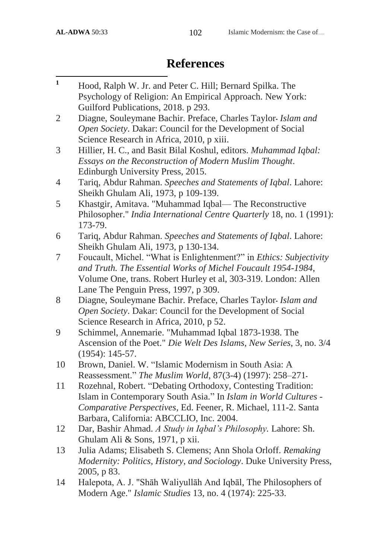## **References**

| $\mathbf{1}$   | Hood, Ralph W. Jr. and Peter C. Hill; Bernard Spilka. The            |
|----------------|----------------------------------------------------------------------|
|                | Psychology of Religion: An Empirical Approach. New York:             |
|                | Guilford Publications, 2018. p 293.                                  |
| $\overline{2}$ | Diagne, Souleymane Bachir. Preface, Charles Taylor-Islam and         |
|                | Open Society. Dakar: Council for the Development of Social           |
|                | Science Research in Africa, 2010, p xiii.                            |
| 3              | Hillier, H. C., and Basit Bilal Koshul, editors. Muhammad Iqbal:     |
|                | Essays on the Reconstruction of Modern Muslim Thought.               |
|                | Edinburgh University Press, 2015.                                    |
| 4              | Tariq, Abdur Rahman. Speeches and Statements of Iqbal. Lahore:       |
|                | Sheikh Ghulam Ali, 1973, p 109-139.                                  |
| 5              | Khastgir, Amitava. "Muhammad Iqbal— The Reconstructive               |
|                | Philosopher." India International Centre Quarterly 18, no. 1 (1991): |
|                | 173-79.                                                              |
| 6              | Tariq, Abdur Rahman. Speeches and Statements of Iqbal. Lahore:       |
|                | Sheikh Ghulam Ali, 1973, p 130-134.                                  |
| 7              | Foucault, Michel. "What is Enlightenment?" in Ethics: Subjectivity   |
|                | and Truth. The Essential Works of Michel Foucault 1954-1984,         |
|                | Volume One, trans. Robert Hurley et al, 303-319. London: Allen       |
|                | Lane The Penguin Press, 1997, p 309.                                 |
| 8              | Diagne, Souleymane Bachir. Preface, Charles Taylor-Islam and         |
|                | Open Society. Dakar: Council for the Development of Social           |
|                | Science Research in Africa, 2010, p 52.                              |
| 9              | Schimmel, Annemarie. "Muhammad Iqbal 1873-1938. The                  |
|                | Ascension of the Poet." Die Welt Des Islams, New Series, 3, no. 3/4  |
|                | $(1954): 145-57.$                                                    |
| 10             | Brown, Daniel. W. "Islamic Modernism in South Asia: A                |
|                | Reassessment." The Muslim World, 87(3-4) (1997): 258-271-            |
| 11             | Rozehnal, Robert. "Debating Orthodoxy, Contesting Tradition:         |
|                | Islam in Contemporary South Asia." In Islam in World Cultures -      |
|                | Comparative Perspectives, Ed. Feener, R. Michael, 111-2. Santa       |
|                | Barbara, California: ABCCLIO, Inc. 2004.                             |
| 12             | Dar, Bashir Ahmad. A Study in Iqbal's Philosophy. Lahore: Sh.        |
|                | Ghulam Ali & Sons, 1971, p xii.                                      |
| 13             | Julia Adams; Elisabeth S. Clemens; Ann Shola Orloff. Remaking        |
|                | Modernity: Politics, History, and Sociology. Duke University Press,  |
|                | 2005, p 83.                                                          |
| 14             | Halepota, A. J. "Shāh Waliyullāh And Iqbāl, The Philosophers of      |
|                | Modern Age." <i>Islamic Studies</i> 13, no. 4 (1974): 225-33.        |
|                |                                                                      |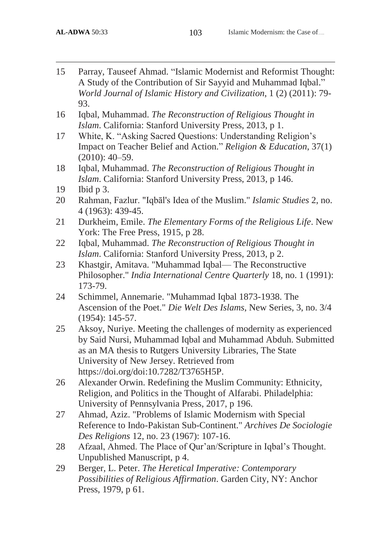$\overline{\phantom{a}}$ 

- 15 Parray, Tauseef Ahmad. "Islamic Modernist and Reformist Thought: A Study of the Contribution of Sir Sayyid and Muhammad Iqbal." *World Journal of Islamic History and Civilization*, 1 (2) (2011): 79- 93.
- 16 Iqbal, Muhammad. *The Reconstruction of Religious Thought in Islam*. California: Stanford University Press, 2013, p 1.
- 17 White, K. "Asking Sacred Questions: Understanding Religion's Impact on Teacher Belief and Action." *Religion & Education*, 37(1) (2010): 40–59.
- 18 Iqbal, Muhammad. *The Reconstruction of Religious Thought in Islam*. California: Stanford University Press, 2013, p 146.
- 19 Ibid p 3.
- 20 Rahman, Fazlur. "Iqbāl's Idea of the Muslim." *Islamic Studies* 2, no. 4 (1963): 439-45.
- 21 Durkheim, Emile. *The Elementary Forms of the Religious Life*. New York: The Free Press, 1915, p 28.
- 22 Iqbal, Muhammad. *The Reconstruction of Religious Thought in Islam*. California: Stanford University Press, 2013, p 2.
- 23 Khastgir, Amitava. "Muhammad Iqbal— The Reconstructive Philosopher." *India International Centre Quarterly* 18, no. 1 (1991): 173-79.
- 24 Schimmel, Annemarie. "Muhammad Iqbal 1873-1938. The Ascension of the Poet." *Die Welt Des Islams*, New Series, 3, no. 3/4 (1954): 145-57.
- 25 Aksoy, Nuriye. Meeting the challenges of modernity as experienced by Said Nursi, Muhammad Iqbal and Muhammad Abduh. Submitted as an MA thesis to Rutgers University Libraries, The State University of New Jersey. Retrieved from https://doi.org/doi:10.7282/T3765H5P.
- 26 Alexander Orwin. Redefining the Muslim Community: Ethnicity, Religion, and Politics in the Thought of Alfarabi. Philadelphia: University of Pennsylvania Press, 2017, p 196.
- 27 Ahmad, Aziz. "Problems of Islamic Modernism with Special Reference to Indo-Pakistan Sub-Continent." *Archives De Sociologie Des Religions* 12, no. 23 (1967): 107-16.
- 28 Afzaal, Ahmed. The Place of Qur'an/Scripture in Iqbal's Thought. Unpublished Manuscript, p 4.
- 29 Berger, L. Peter. *The Heretical Imperative: Contemporary Possibilities of Religious Affirmation*. Garden City, NY: Anchor Press, 1979, p 61.